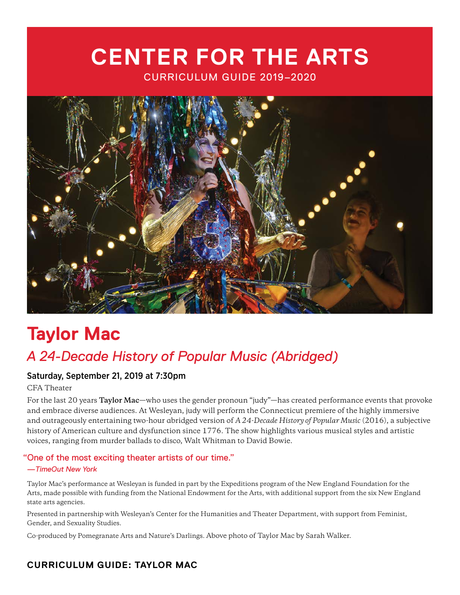# **CENTER FOR THE ARTS** CURRICULUM GUIDE 2019–2020



# **Taylor Mac** *A 24-Decade History of Popular Music (Abridged)*

## Saturday, September 21, 2019 at 7:30pm

CFA Theater

For the last 20 years **Taylor Mac**—who uses the gender pronoun "judy"—has created performance events that provoke and embrace diverse audiences. At Wesleyan, judy will perform the Connecticut premiere of the highly immersive and outrageously entertaining two-hour abridged version of *A 24-Decade History of Popular Music* (2016), a subjective history of American culture and dysfunction since 1776. The show highlights various musical styles and artistic voices, ranging from murder ballads to disco, Walt Whitman to David Bowie.

## "One of the most exciting theater artists of our time."

#### *—TimeOut New York*

Taylor Mac's performance at Wesleyan is funded in part by the Expeditions program of the New England Foundation for the Arts, made possible with funding from the National Endowment for the Arts, with additional support from the six New England state arts agencies.

Presented in partnership with Wesleyan's Center for the Humanities and Theater Department, with support from Feminist, Gender, and Sexuality Studies.

Co-produced by Pomegranate Arts and Nature's Darlings. Above photo of Taylor Mac by Sarah Walker.

# **CURRICULUM GUIDE: TAYLOR MAC**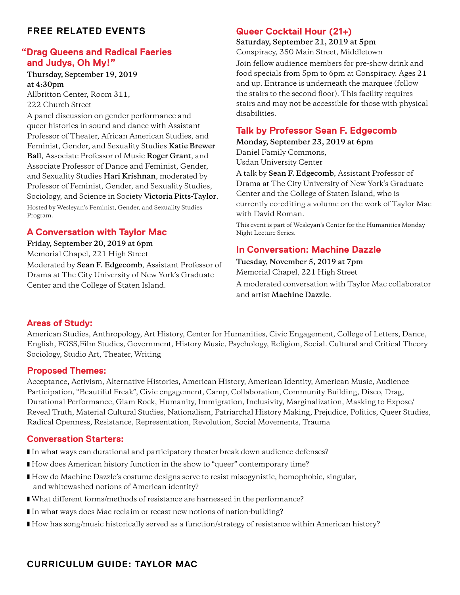## **FREE RELATED EVENTS**

## **"Drag Queens and Radical Faeries and Judys, Oh My!"**

## **Thursday, September 19, 2019 at 4:30pm**

Allbritton Center, Room 311, 222 Church Street

A panel discussion on gender performance and queer histories in sound and dance with Assistant Professor of Theater, African American Studies, and Feminist, Gender, and Sexuality Studies **Katie Brewer Ball**, Associate Professor of Music **Roger Grant**, and Associate Professor of Dance and Feminist, Gender, and Sexuality Studies **Hari Krishnan**, moderated by Professor of Feminist, Gender, and Sexuality Studies, Sociology, and Science in Society **Victoria Pitts-Taylor**. Hosted by Wesleyan's Feminist, Gender, and Sexuality Studies Program.

## **A Conversation with Taylor Mac**

**Friday, September 20, 2019 at 6pm** Memorial Chapel, 221 High Street Moderated by **Sean F. Edgecomb**, Assistant Professor of Drama at The City University of New York's Graduate Center and the College of Staten Island.

## **Queer Cocktail Hour (21+)**

#### **Saturday, September 21, 2019 at 5pm**

Conspiracy, 350 Main Street, Middletown

Join fellow audience members for pre-show drink and food specials from 5pm to 6pm at Conspiracy. Ages 21 and up. Entrance is underneath the marquee (follow the stairs to the second floor). This facility requires stairs and may not be accessible for those with physical disabilities.

## **Talk by Professor Sean F. Edgecomb**

## **Monday, September 23, 2019 at 6pm**

Daniel Family Commons, Usdan University Center

A talk by **Sean F. Edgecomb**, Assistant Professor of Drama at The City University of New York's Graduate Center and the College of Staten Island, who is currently co-editing a volume on the work of Taylor Mac with David Roman.

This event is part of Wesleyan's Center for the Humanities Monday Night Lecture Series.

## **In Conversation: Machine Dazzle**

**Tuesday, November 5, 2019 at 7pm** Memorial Chapel, 221 High Street A moderated conversation with Taylor Mac collaborator and artist **Machine Dazzle**.

#### **Areas of Study:**

American Studies, Anthropology, Art History, Center for Humanities, Civic Engagement, College of Letters, Dance, English, FGSS,Film Studies, Government, History Music, Psychology, Religion, Social. Cultural and Critical Theory Sociology, Studio Art, Theater, Writing

#### **Proposed Themes:**

Acceptance, Activism, Alternative Histories, American History, American Identity, American Music, Audience Participation, "Beautiful Freak", Civic engagement, Camp, Collaboration, Community Building, Disco, Drag, Durational Performance, Glam Rock, Humanity, Immigration, Inclusivity, Marginalization, Masking to Expose/ Reveal Truth, Material Cultural Studies, Nationalism, Patriarchal History Making, Prejudice, Politics, Queer Studies, Radical Openness, Resistance, Representation, Revolution, Social Movements, Trauma

## **Conversation Starters:**

- In what ways can durational and participatory theater break down audience defenses?
- How does American history function in the show to "queer" contemporary time?
- How do Machine Dazzle's costume designs serve to resist misogynistic, homophobic, singular, and whitewashed notions of American identity?
- What different forms/methods of resistance are harnessed in the performance?
- In what ways does Mac reclaim or recast new notions of nation-building?
- How has song/music historically served as a function/strategy of resistance within American history?

# **CURRICULUM GUIDE: TAYLOR MAC**